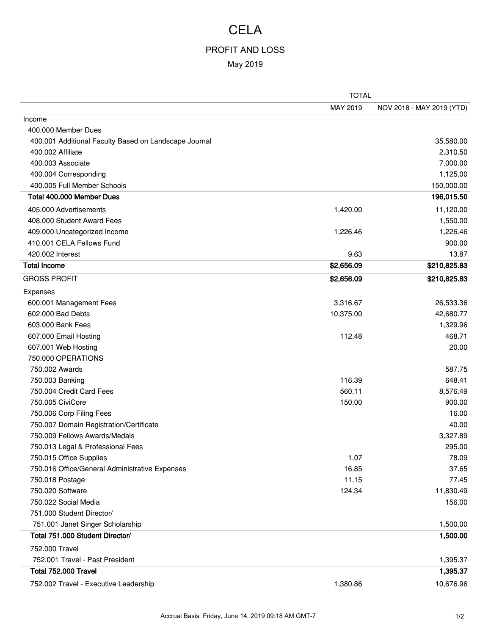## **CELA**

## PROFIT AND LOSS

## May 2019

|                                                       | <b>TOTAL</b> |                           |
|-------------------------------------------------------|--------------|---------------------------|
|                                                       | MAY 2019     | NOV 2018 - MAY 2019 (YTD) |
| Income                                                |              |                           |
| 400,000 Member Dues                                   |              |                           |
| 400.001 Additional Faculty Based on Landscape Journal |              | 35,580.00                 |
| 400.002 Affiliate                                     |              | 2,310.50                  |
| 400.003 Associate                                     |              | 7,000.00                  |
| 400.004 Corresponding                                 |              | 1,125.00                  |
| 400.005 Full Member Schools                           |              | 150,000.00                |
| Total 400.000 Member Dues                             |              | 196,015.50                |
| 405.000 Advertisements                                | 1,420.00     | 11,120.00                 |
| 408.000 Student Award Fees                            |              | 1,550.00                  |
| 409.000 Uncategorized Income                          | 1,226.46     | 1,226.46                  |
| 410.001 CELA Fellows Fund                             |              | 900.00                    |
| 420.002 Interest                                      | 9.63         | 13.87                     |
| <b>Total Income</b>                                   | \$2,656.09   | \$210,825.83              |
| <b>GROSS PROFIT</b>                                   | \$2,656.09   | \$210,825.83              |
| Expenses                                              |              |                           |
| 600.001 Management Fees                               | 3,316.67     | 26,533.36                 |
| 602.000 Bad Debts                                     | 10,375.00    | 42,680.77                 |
| 603.000 Bank Fees                                     |              | 1,329.96                  |
| 607.000 Email Hosting                                 | 112.48       | 468.71                    |
| 607.001 Web Hosting                                   |              | 20.00                     |
| 750.000 OPERATIONS                                    |              |                           |
| 750.002 Awards                                        |              | 587.75                    |
| 750.003 Banking                                       | 116.39       | 648.41                    |
| 750.004 Credit Card Fees                              | 560.11       | 8,576.49                  |
| 750.005 CiviCore                                      | 150.00       | 900.00                    |
| 750.006 Corp Filing Fees                              |              | 16.00                     |
| 750.007 Domain Registration/Certificate               |              | 40.00                     |
| 750,009 Fellows Awards/Medals                         |              | 3,327.89                  |
| 750.013 Legal & Professional Fees                     |              | 295.00                    |
| 750.015 Office Supplies                               | 1.07         | 78.09                     |
| 750.016 Office/General Administrative Expenses        | 16.85        | 37.65                     |
| 750.018 Postage                                       | 11.15        | 77.45                     |
| 750.020 Software                                      | 124.34       | 11,830.49                 |
| 750.022 Social Media                                  |              | 156.00                    |
| 751.000 Student Director/                             |              |                           |
| 751.001 Janet Singer Scholarship                      |              | 1,500.00                  |
| Total 751.000 Student Director/                       |              | 1,500.00                  |
| 752.000 Travel                                        |              |                           |
| 752.001 Travel - Past President                       |              | 1,395.37                  |
| Total 752.000 Travel                                  |              | 1,395.37                  |
| 752.002 Travel - Executive Leadership                 | 1,380.86     | 10,676.96                 |